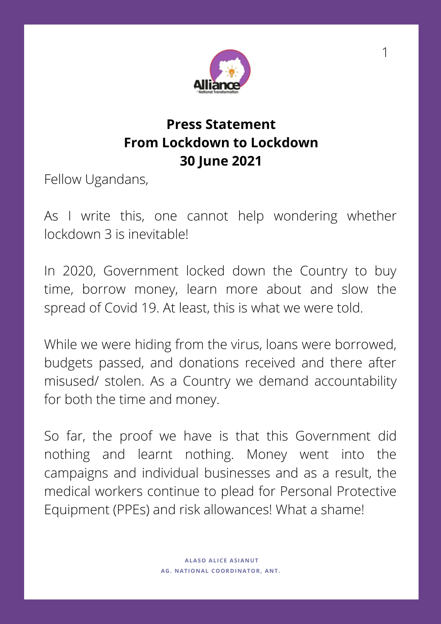

## **Press Statement From Lockdown to Lockdown 30 June 2021**

Fellow Ugandans,

As I write this, one cannot help wondering whether lockdown 3 is inevitable!

In 2020, Government locked down the Country to buy time, borrow money, learn more about and slow the spread of Covid 19. At least, this is what we were told.

While we were hiding from the virus, loans were borrowed, budgets passed, and donations received and there after misused/ stolen. As a Country we demand accountability for both the time and money.

So far, the proof we have is that this Government did nothing and learnt nothing. Money went into the campaigns and individual businesses and as a result, the medical workers continue to plead for Personal Protective Equipment (PPEs) and risk allowances! What a shame!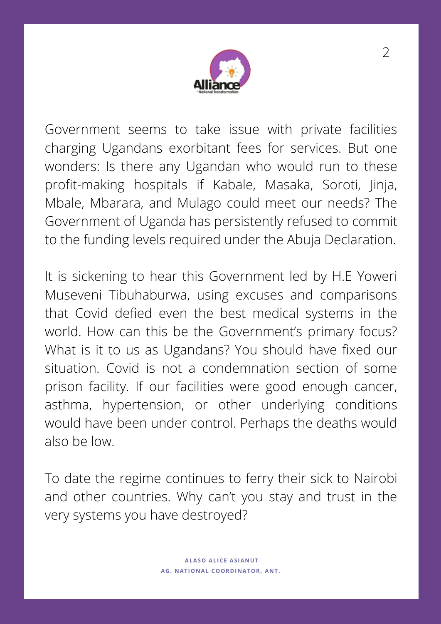

Government seems to take issue with private facilities charging Ugandans exorbitant fees for services. But one wonders: Is there any Ugandan who would run to these profit-making hospitals if Kabale, Masaka, Soroti, Jinja, Mbale, Mbarara, and Mulago could meet our needs? The Government of Uganda has persistently refused to commit to the funding levels required under the Abuja Declaration.

It is sickening to hear this Government led by H.E Yoweri Museveni Tibuhaburwa, using excuses and comparisons that Covid defied even the best medical systems in the world. How can this be the Government's primary focus? What is it to us as Ugandans? You should have fixed our situation. Covid is not a condemnation section of some prison facility. If our facilities were good enough cancer, asthma, hypertension, or other underlying conditions would have been under control. Perhaps the deaths would also be low.

To date the regime continues to ferry their sick to Nairobi and other countries. Why can't you stay and trust in the very systems you have destroyed?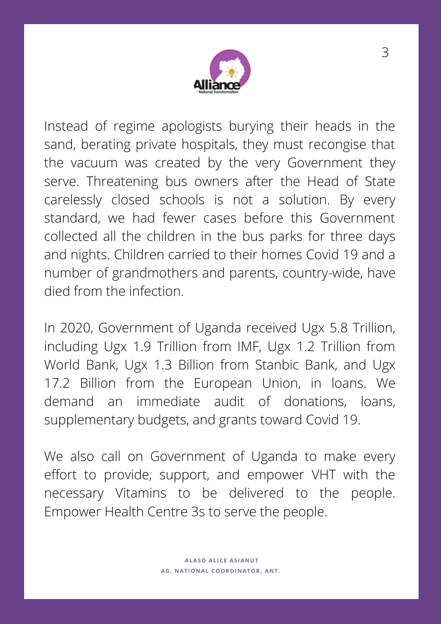

Instead of regime apologists burying their heads in the sand, berating private hospitals, they must recongise that the vacuum was created by the very Government they serve. Threatening bus owners after the Head of State carelessly closed schools is not a solution. By every standard, we had fewer cases before this Government collected all the children in the bus parks for three days and nights. Children carried to their homes Covid 19 and a number of grandmothers and parents, country-wide, have died from the infection.

In 2020, Government of Uganda received Ugx 5.8 Trillion, including Ugx 1.9 Trillion from IMF, Ugx 1.2 Trillion from World Bank, Ugx 1.3 Billion from Stanbic Bank, and Ugx 17.2 Billion from the European Union, in loans. We demand an immediate audit of donations, loans, supplementary budgets, and grants toward Covid 19.

We also call on Government of Uganda to make every effort to provide, support, and empower VHT with the necessary Vitamins to be delivered to the people. Empower Health Centre 3s to serve the people.